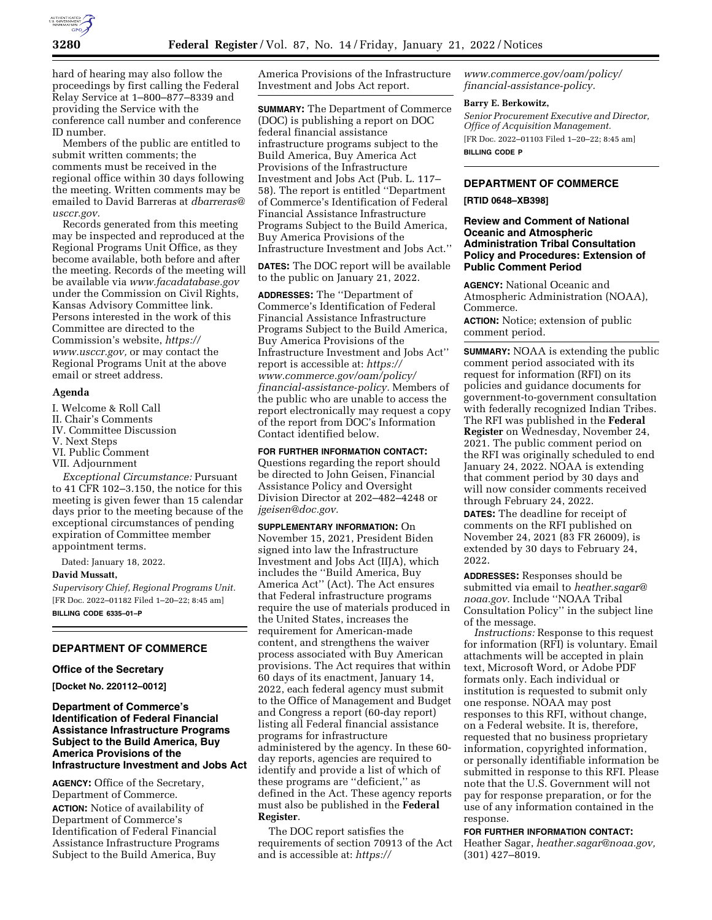

hard of hearing may also follow the proceedings by first calling the Federal Relay Service at 1–800–877–8339 and providing the Service with the conference call number and conference ID number.

Members of the public are entitled to submit written comments; the comments must be received in the regional office within 30 days following the meeting. Written comments may be emailed to David Barreras at *[dbarreras@](mailto:dbarreras@usccr.gov) [usccr.gov.](mailto:dbarreras@usccr.gov)* 

Records generated from this meeting may be inspected and reproduced at the Regional Programs Unit Office, as they become available, both before and after the meeting. Records of the meeting will be available via *[www.facadatabase.gov](http://www.facadatabase.gov)*  under the Commission on Civil Rights, Kansas Advisory Committee link. Persons interested in the work of this Committee are directed to the Commission's website, *[https://](https://www.usccr.gov) [www.usccr.gov,](https://www.usccr.gov)* or may contact the Regional Programs Unit at the above email or street address.

### **Agenda**

I. Welcome & Roll Call II. Chair's Comments IV. Committee Discussion

V. Next Steps

VI. Public Comment

VII. Adjournment

*Exceptional Circumstance:* Pursuant to 41 CFR 102–3.150, the notice for this meeting is given fewer than 15 calendar days prior to the meeting because of the exceptional circumstances of pending expiration of Committee member appointment terms.

Dated: January 18, 2022. **David Mussatt,** 

*Supervisory Chief, Regional Programs Unit.*  [FR Doc. 2022–01182 Filed 1–20–22; 8:45 am] **BILLING CODE 6335–01–P** 

### **DEPARTMENT OF COMMERCE**

#### **Office of the Secretary**

**[Docket No. 220112–0012]** 

## **Department of Commerce's Identification of Federal Financial Assistance Infrastructure Programs Subject to the Build America, Buy America Provisions of the Infrastructure Investment and Jobs Act**

**AGENCY:** Office of the Secretary, Department of Commerce. **ACTION:** Notice of availability of Department of Commerce's Identification of Federal Financial Assistance Infrastructure Programs Subject to the Build America, Buy

America Provisions of the Infrastructure Investment and Jobs Act report.

**SUMMARY:** The Department of Commerce (DOC) is publishing a report on DOC federal financial assistance infrastructure programs subject to the Build America, Buy America Act Provisions of the Infrastructure Investment and Jobs Act (Pub. L. 117– 58). The report is entitled ''Department of Commerce's Identification of Federal Financial Assistance Infrastructure Programs Subject to the Build America, Buy America Provisions of the Infrastructure Investment and Jobs Act.''

**DATES:** The DOC report will be available to the public on January 21, 2022.

**ADDRESSES:** The ''Department of Commerce's Identification of Federal Financial Assistance Infrastructure Programs Subject to the Build America, Buy America Provisions of the Infrastructure Investment and Jobs Act'' report is accessible at: *[https://](https://www.commerce.gov/oam/policy/financial-assistance-policy) [www.commerce.gov/oam/policy/](https://www.commerce.gov/oam/policy/financial-assistance-policy) [financial-assistance-policy.](https://www.commerce.gov/oam/policy/financial-assistance-policy)* Members of the public who are unable to access the report electronically may request a copy of the report from DOC's Information Contact identified below.

**FOR FURTHER INFORMATION CONTACT:**  Questions regarding the report should be directed to John Geisen, Financial Assistance Policy and Oversight Division Director at 202–482–4248 or *[jgeisen@doc.gov.](mailto:jgeisen@doc.gov)* 

**SUPPLEMENTARY INFORMATION:** On November 15, 2021, President Biden signed into law the Infrastructure Investment and Jobs Act (IIJA), which includes the ''Build America, Buy America Act'' (Act). The Act ensures that Federal infrastructure programs require the use of materials produced in the United States, increases the requirement for American-made content, and strengthens the waiver process associated with Buy American provisions. The Act requires that within 60 days of its enactment, January 14, 2022, each federal agency must submit to the Office of Management and Budget and Congress a report (60-day report) listing all Federal financial assistance programs for infrastructure administered by the agency. In these 60 day reports, agencies are required to identify and provide a list of which of these programs are ''deficient,'' as defined in the Act. These agency reports must also be published in the **Federal Register**.

The DOC report satisfies the requirements of section 70913 of the Act and is accessible at: *[https://](https://www.commerce.gov/oam/policy/financial-assistance-policy)*

*[www.commerce.gov/oam/policy/](https://www.commerce.gov/oam/policy/financial-assistance-policy) [financial-assistance-policy.](https://www.commerce.gov/oam/policy/financial-assistance-policy)* 

### **Barry E. Berkowitz,**

*Senior Procurement Executive and Director, Office of Acquisition Management.*  [FR Doc. 2022–01103 Filed 1–20–22; 8:45 am] **BILLING CODE P** 

# **DEPARTMENT OF COMMERCE**

#### **[RTID 0648–XB398]**

## **Review and Comment of National Oceanic and Atmospheric Administration Tribal Consultation Policy and Procedures: Extension of Public Comment Period**

**AGENCY:** National Oceanic and Atmospheric Administration (NOAA), Commerce.

**ACTION:** Notice; extension of public comment period.

**SUMMARY:** NOAA is extending the public comment period associated with its request for information (RFI) on its policies and guidance documents for government-to-government consultation with federally recognized Indian Tribes. The RFI was published in the **Federal Register** on Wednesday, November 24, 2021. The public comment period on the RFI was originally scheduled to end January 24, 2022. NOAA is extending that comment period by 30 days and will now consider comments received through February 24, 2022.

**DATES:** The deadline for receipt of comments on the RFI published on November 24, 2021 (83 FR 26009), is extended by 30 days to February 24, 2022.

**ADDRESSES:** Responses should be submitted via email to *[heather.sagar@](mailto:heather.sagar@noaa.gov) [noaa.gov.](mailto:heather.sagar@noaa.gov)* Include ''NOAA Tribal Consultation Policy'' in the subject line of the message.

*Instructions:* Response to this request for information (RFI) is voluntary. Email attachments will be accepted in plain text, Microsoft Word, or Adobe PDF formats only. Each individual or institution is requested to submit only one response. NOAA may post responses to this RFI, without change, on a Federal website. It is, therefore, requested that no business proprietary information, copyrighted information, or personally identifiable information be submitted in response to this RFI. Please note that the U.S. Government will not pay for response preparation, or for the use of any information contained in the response.

#### **FOR FURTHER INFORMATION CONTACT:**

Heather Sagar, *[heather.sagar@noaa.gov,](mailto:heather.sagar@noaa.gov)*  (301) 427–8019.